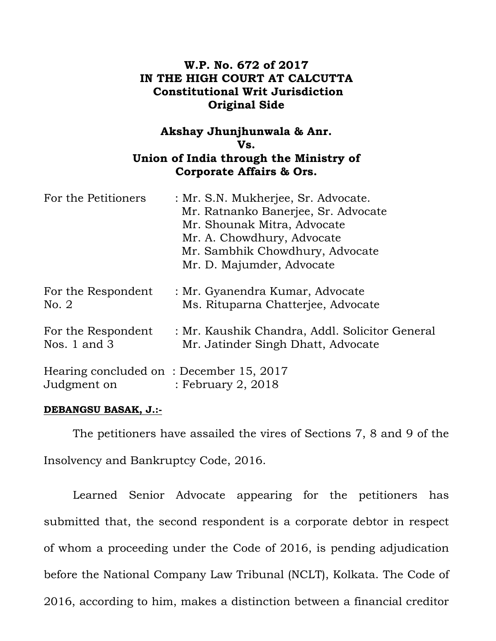## **W.P. No. 672 of 2017 IN THE HIGH COURT AT CALCUTTA Constitutional Writ Jurisdiction Original Side**

## **Akshay Jhunjhunwala & Anr. Vs. Union of India through the Ministry of Corporate Affairs & Ors.**

| For the Petitioners                                    | : Mr. S.N. Mukherjee, Sr. Advocate.                                                  |  |  |  |  |  |
|--------------------------------------------------------|--------------------------------------------------------------------------------------|--|--|--|--|--|
|                                                        | Mr. Ratnanko Banerjee, Sr. Advocate                                                  |  |  |  |  |  |
|                                                        | Mr. Shounak Mitra, Advocate                                                          |  |  |  |  |  |
|                                                        | Mr. A. Chowdhury, Advocate                                                           |  |  |  |  |  |
|                                                        | Mr. Sambhik Chowdhury, Advocate                                                      |  |  |  |  |  |
|                                                        | Mr. D. Majumder, Advocate                                                            |  |  |  |  |  |
| For the Respondent                                     | : Mr. Gyanendra Kumar, Advocate                                                      |  |  |  |  |  |
| No. 2                                                  | Ms. Rituparna Chatterjee, Advocate                                                   |  |  |  |  |  |
| For the Respondent<br>Nos. $1$ and $3$                 | : Mr. Kaushik Chandra, Addl. Solicitor General<br>Mr. Jatinder Singh Dhatt, Advocate |  |  |  |  |  |
| Hearing concluded on: December 15, 2017<br>Judgment on | : February 2, 2018                                                                   |  |  |  |  |  |

## **DEBANGSU BASAK, J.:-**

The petitioners have assailed the vires of Sections 7, 8 and 9 of the

Insolvency and Bankruptcy Code, 2016.

Learned Senior Advocate appearing for the petitioners has submitted that, the second respondent is a corporate debtor in respect of whom a proceeding under the Code of 2016, is pending adjudication before the National Company Law Tribunal (NCLT), Kolkata. The Code of 2016, according to him, makes a distinction between a financial creditor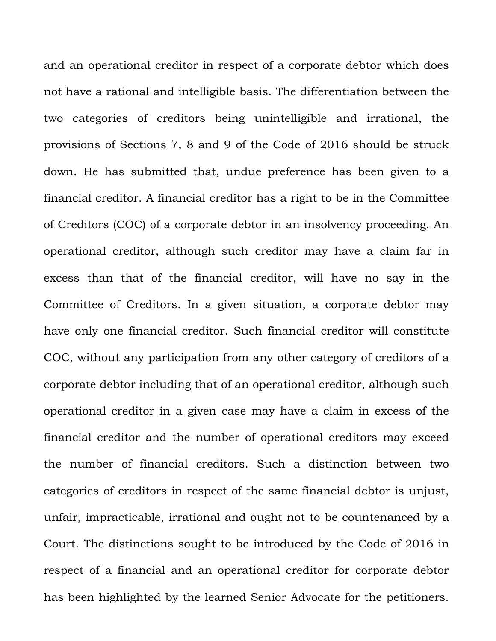and an operational creditor in respect of a corporate debtor which does not have a rational and intelligible basis. The differentiation between the two categories of creditors being unintelligible and irrational, the provisions of Sections 7, 8 and 9 of the Code of 2016 should be struck down. He has submitted that, undue preference has been given to a financial creditor. A financial creditor has a right to be in the Committee of Creditors (COC) of a corporate debtor in an insolvency proceeding. An operational creditor, although such creditor may have a claim far in excess than that of the financial creditor, will have no say in the Committee of Creditors. In a given situation, a corporate debtor may have only one financial creditor. Such financial creditor will constitute COC, without any participation from any other category of creditors of a corporate debtor including that of an operational creditor, although such operational creditor in a given case may have a claim in excess of the financial creditor and the number of operational creditors may exceed the number of financial creditors. Such a distinction between two categories of creditors in respect of the same financial debtor is unjust, unfair, impracticable, irrational and ought not to be countenanced by a Court. The distinctions sought to be introduced by the Code of 2016 in respect of a financial and an operational creditor for corporate debtor has been highlighted by the learned Senior Advocate for the petitioners.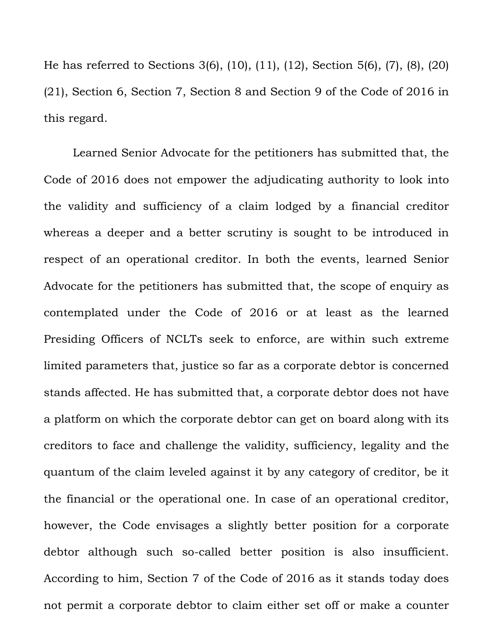He has referred to Sections 3(6), (10), (11), (12), Section 5(6), (7), (8), (20) (21), Section 6, Section 7, Section 8 and Section 9 of the Code of 2016 in this regard.

Learned Senior Advocate for the petitioners has submitted that, the Code of 2016 does not empower the adjudicating authority to look into the validity and sufficiency of a claim lodged by a financial creditor whereas a deeper and a better scrutiny is sought to be introduced in respect of an operational creditor. In both the events, learned Senior Advocate for the petitioners has submitted that, the scope of enquiry as contemplated under the Code of 2016 or at least as the learned Presiding Officers of NCLTs seek to enforce, are within such extreme limited parameters that, justice so far as a corporate debtor is concerned stands affected. He has submitted that, a corporate debtor does not have a platform on which the corporate debtor can get on board along with its creditors to face and challenge the validity, sufficiency, legality and the quantum of the claim leveled against it by any category of creditor, be it the financial or the operational one. In case of an operational creditor, however, the Code envisages a slightly better position for a corporate debtor although such so-called better position is also insufficient. According to him, Section 7 of the Code of 2016 as it stands today does not permit a corporate debtor to claim either set off or make a counter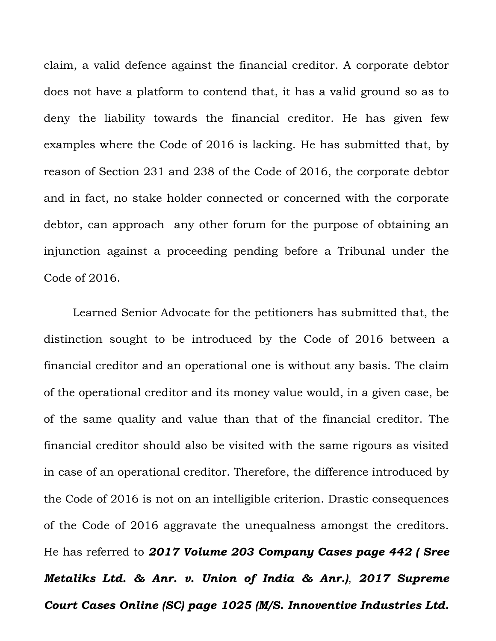claim, a valid defence against the financial creditor. A corporate debtor does not have a platform to contend that, it has a valid ground so as to deny the liability towards the financial creditor. He has given few examples where the Code of 2016 is lacking. He has submitted that, by reason of Section 231 and 238 of the Code of 2016, the corporate debtor and in fact, no stake holder connected or concerned with the corporate debtor, can approach any other forum for the purpose of obtaining an injunction against a proceeding pending before a Tribunal under the Code of 2016.

Learned Senior Advocate for the petitioners has submitted that, the distinction sought to be introduced by the Code of 2016 between a financial creditor and an operational one is without any basis. The claim of the operational creditor and its money value would, in a given case, be of the same quality and value than that of the financial creditor. The financial creditor should also be visited with the same rigours as visited in case of an operational creditor. Therefore, the difference introduced by the Code of 2016 is not on an intelligible criterion. Drastic consequences of the Code of 2016 aggravate the unequalness amongst the creditors. He has referred to *2017 Volume 203 Company Cases page 442 ( Sree Metaliks Ltd. & Anr. v. Union of India & Anr.)*, *2017 Supreme Court Cases Online (SC) page 1025 (M/S. Innoventive Industries Ltd.*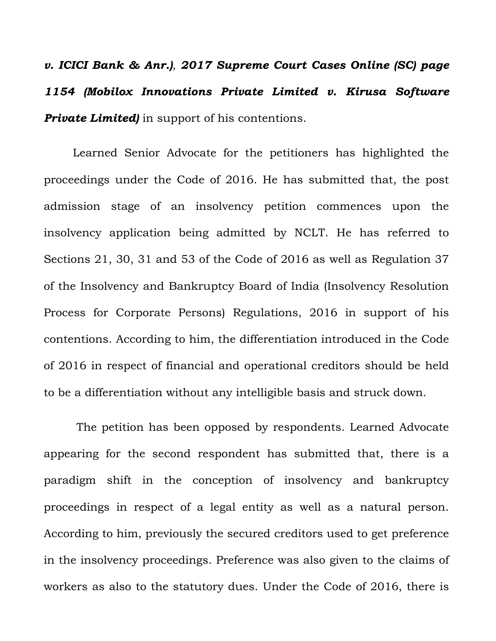*v. ICICI Bank & Anr.)*, *2017 Supreme Court Cases Online (SC) page 1154 (Mobilox Innovations Private Limited v. Kirusa Software Private Limited)* in support of his contentions.

Learned Senior Advocate for the petitioners has highlighted the proceedings under the Code of 2016. He has submitted that, the post admission stage of an insolvency petition commences upon the insolvency application being admitted by NCLT. He has referred to Sections 21, 30, 31 and 53 of the Code of 2016 as well as Regulation 37 of the Insolvency and Bankruptcy Board of India (Insolvency Resolution Process for Corporate Persons) Regulations, 2016 in support of his contentions. According to him, the differentiation introduced in the Code of 2016 in respect of financial and operational creditors should be held to be a differentiation without any intelligible basis and struck down.

 The petition has been opposed by respondents. Learned Advocate appearing for the second respondent has submitted that, there is a paradigm shift in the conception of insolvency and bankruptcy proceedings in respect of a legal entity as well as a natural person. According to him, previously the secured creditors used to get preference in the insolvency proceedings. Preference was also given to the claims of workers as also to the statutory dues. Under the Code of 2016, there is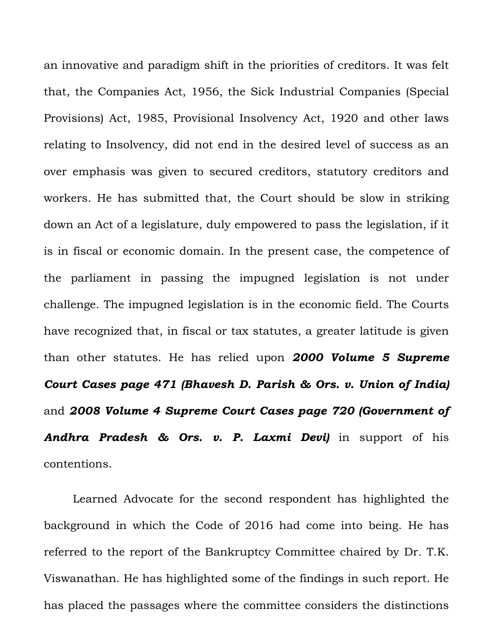an innovative and paradigm shift in the priorities of creditors. It was felt that, the Companies Act, 1956, the Sick Industrial Companies (Special Provisions) Act, 1985, Provisional Insolvency Act, 1920 and other laws relating to Insolvency, did not end in the desired level of success as an over emphasis was given to secured creditors, statutory creditors and workers. He has submitted that, the Court should be slow in striking down an Act of a legislature, duly empowered to pass the legislation, if it is in fiscal or economic domain. In the present case, the competence of the parliament in passing the impugned legislation is not under challenge. The impugned legislation is in the economic field. The Courts have recognized that, in fiscal or tax statutes, a greater latitude is given than other statutes. He has relied upon *2000 Volume 5 Supreme Court Cases page 471 (Bhavesh D. Parish & Ors. v. Union of India)* and *2008 Volume 4 Supreme Court Cases page 720 (Government of Andhra Pradesh & Ors. v. P. Laxmi Devi)* in support of his contentions.

Learned Advocate for the second respondent has highlighted the background in which the Code of 2016 had come into being. He has referred to the report of the Bankruptcy Committee chaired by Dr. T.K. Viswanathan. He has highlighted some of the findings in such report. He has placed the passages where the committee considers the distinctions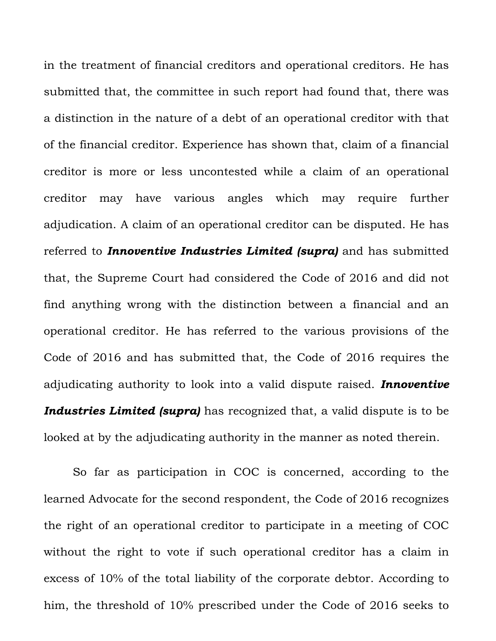in the treatment of financial creditors and operational creditors. He has submitted that, the committee in such report had found that, there was a distinction in the nature of a debt of an operational creditor with that of the financial creditor. Experience has shown that, claim of a financial creditor is more or less uncontested while a claim of an operational creditor may have various angles which may require further adjudication. A claim of an operational creditor can be disputed. He has referred to *Innoventive Industries Limited (supra)* and has submitted that, the Supreme Court had considered the Code of 2016 and did not find anything wrong with the distinction between a financial and an operational creditor. He has referred to the various provisions of the Code of 2016 and has submitted that, the Code of 2016 requires the adjudicating authority to look into a valid dispute raised. *Innoventive Industries Limited (supra)* has recognized that, a valid dispute is to be looked at by the adjudicating authority in the manner as noted therein.

So far as participation in COC is concerned, according to the learned Advocate for the second respondent, the Code of 2016 recognizes the right of an operational creditor to participate in a meeting of COC without the right to vote if such operational creditor has a claim in excess of 10% of the total liability of the corporate debtor. According to him, the threshold of 10% prescribed under the Code of 2016 seeks to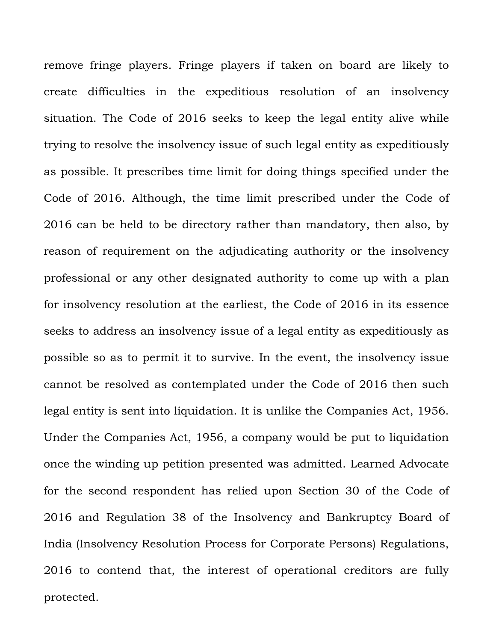remove fringe players. Fringe players if taken on board are likely to create difficulties in the expeditious resolution of an insolvency situation. The Code of 2016 seeks to keep the legal entity alive while trying to resolve the insolvency issue of such legal entity as expeditiously as possible. It prescribes time limit for doing things specified under the Code of 2016. Although, the time limit prescribed under the Code of 2016 can be held to be directory rather than mandatory, then also, by reason of requirement on the adjudicating authority or the insolvency professional or any other designated authority to come up with a plan for insolvency resolution at the earliest, the Code of 2016 in its essence seeks to address an insolvency issue of a legal entity as expeditiously as possible so as to permit it to survive. In the event, the insolvency issue cannot be resolved as contemplated under the Code of 2016 then such legal entity is sent into liquidation. It is unlike the Companies Act, 1956. Under the Companies Act, 1956, a company would be put to liquidation once the winding up petition presented was admitted. Learned Advocate for the second respondent has relied upon Section 30 of the Code of 2016 and Regulation 38 of the Insolvency and Bankruptcy Board of India (Insolvency Resolution Process for Corporate Persons) Regulations, 2016 to contend that, the interest of operational creditors are fully protected.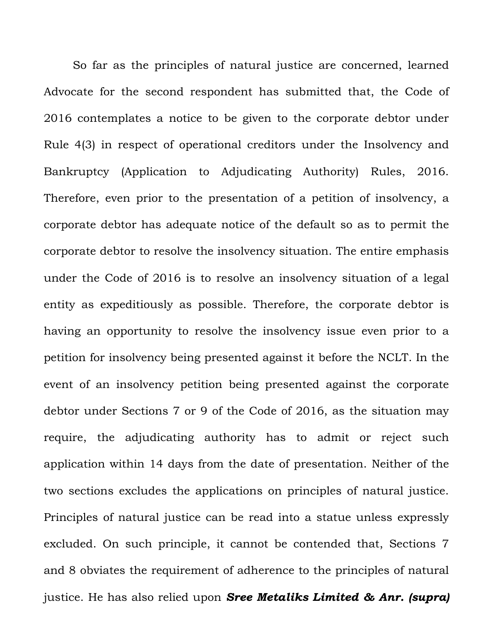So far as the principles of natural justice are concerned, learned Advocate for the second respondent has submitted that, the Code of 2016 contemplates a notice to be given to the corporate debtor under Rule 4(3) in respect of operational creditors under the Insolvency and Bankruptcy (Application to Adjudicating Authority) Rules, 2016. Therefore, even prior to the presentation of a petition of insolvency, a corporate debtor has adequate notice of the default so as to permit the corporate debtor to resolve the insolvency situation. The entire emphasis under the Code of 2016 is to resolve an insolvency situation of a legal entity as expeditiously as possible. Therefore, the corporate debtor is having an opportunity to resolve the insolvency issue even prior to a petition for insolvency being presented against it before the NCLT. In the event of an insolvency petition being presented against the corporate debtor under Sections 7 or 9 of the Code of 2016, as the situation may require, the adjudicating authority has to admit or reject such application within 14 days from the date of presentation. Neither of the two sections excludes the applications on principles of natural justice. Principles of natural justice can be read into a statue unless expressly excluded. On such principle, it cannot be contended that, Sections 7 and 8 obviates the requirement of adherence to the principles of natural justice. He has also relied upon *Sree Metaliks Limited & Anr. (supra)*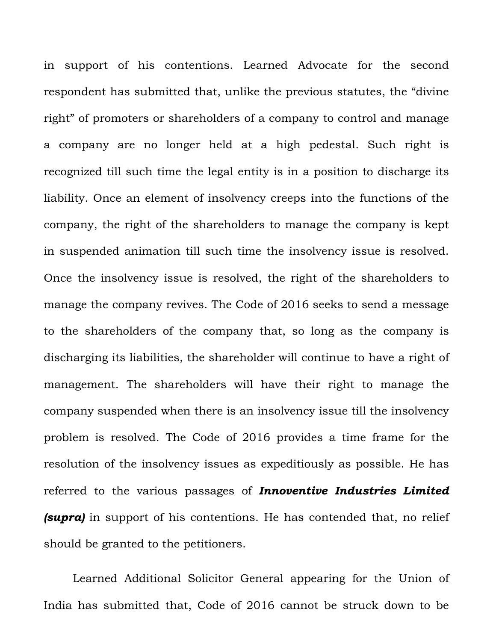in support of his contentions. Learned Advocate for the second respondent has submitted that, unlike the previous statutes, the "divine right" of promoters or shareholders of a company to control and manage a company are no longer held at a high pedestal. Such right is recognized till such time the legal entity is in a position to discharge its liability. Once an element of insolvency creeps into the functions of the company, the right of the shareholders to manage the company is kept in suspended animation till such time the insolvency issue is resolved. Once the insolvency issue is resolved, the right of the shareholders to manage the company revives. The Code of 2016 seeks to send a message to the shareholders of the company that, so long as the company is discharging its liabilities, the shareholder will continue to have a right of management. The shareholders will have their right to manage the company suspended when there is an insolvency issue till the insolvency problem is resolved. The Code of 2016 provides a time frame for the resolution of the insolvency issues as expeditiously as possible. He has referred to the various passages of *Innoventive Industries Limited (supra)* in support of his contentions. He has contended that, no relief should be granted to the petitioners.

Learned Additional Solicitor General appearing for the Union of India has submitted that, Code of 2016 cannot be struck down to be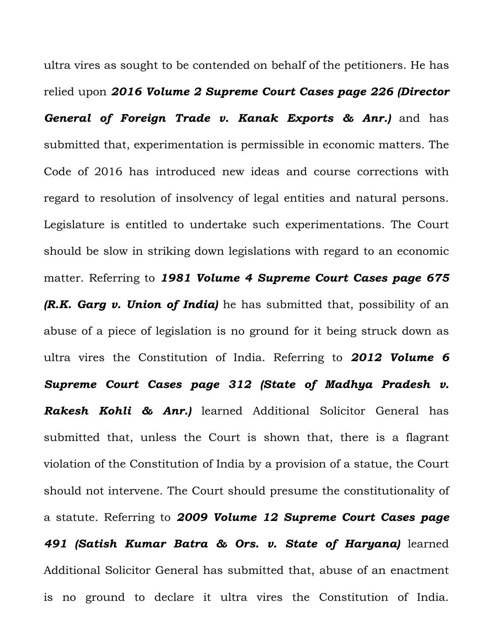ultra vires as sought to be contended on behalf of the petitioners. He has relied upon *2016 Volume 2 Supreme Court Cases page 226 (Director General of Foreign Trade v. Kanak Exports & Anr.)* and has submitted that, experimentation is permissible in economic matters. The Code of 2016 has introduced new ideas and course corrections with regard to resolution of insolvency of legal entities and natural persons. Legislature is entitled to undertake such experimentations. The Court should be slow in striking down legislations with regard to an economic matter. Referring to *1981 Volume 4 Supreme Court Cases page 675 (R.K. Garg v. Union of India)* he has submitted that, possibility of an abuse of a piece of legislation is no ground for it being struck down as ultra vires the Constitution of India. Referring to *2012 Volume 6 Supreme Court Cases page 312 (State of Madhya Pradesh v. Rakesh Kohli & Anr.)* learned Additional Solicitor General has submitted that, unless the Court is shown that, there is a flagrant violation of the Constitution of India by a provision of a statue, the Court should not intervene. The Court should presume the constitutionality of a statute. Referring to *2009 Volume 12 Supreme Court Cases page 491 (Satish Kumar Batra & Ors. v. State of Haryana)* learned Additional Solicitor General has submitted that, abuse of an enactment is no ground to declare it ultra vires the Constitution of India.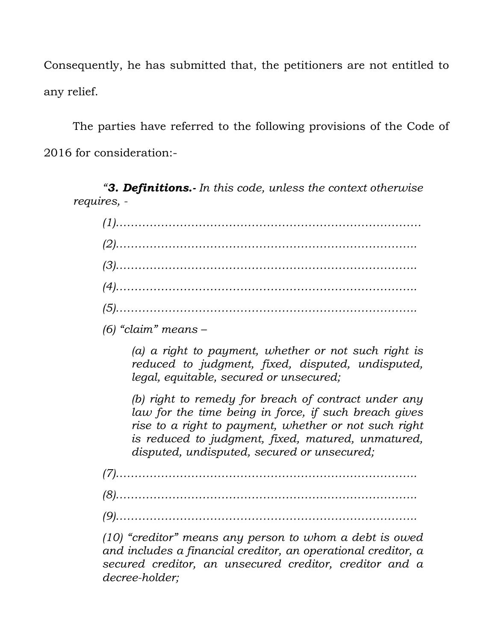Consequently, he has submitted that, the petitioners are not entitled to any relief.

The parties have referred to the following provisions of the Code of 2016 for consideration:-

*"3. Definitions.- In this code, unless the context otherwise requires, -*

*(6) "claim" means –*

*(a) a right to payment, whether or not such right is reduced to judgment, fixed, disputed, undisputed, legal, equitable, secured or unsecured;*

*(b) right to remedy for breach of contract under any law for the time being in force, if such breach gives rise to a right to payment, whether or not such right is reduced to judgment, fixed, matured, unmatured, disputed, undisputed, secured or unsecured;*

*(7)……………………………………………………………………..*

*(8)……………………………………………………………………..*

*(9)……………………………………………………………………..*

*(10) "creditor" means any person to whom a debt is owed and includes a financial creditor, an operational creditor, a secured creditor, an unsecured creditor, creditor and a decree-holder;*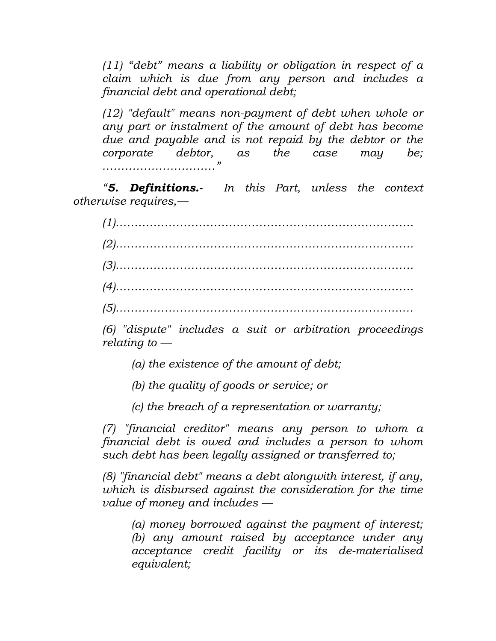*(11) "debt" means a liability or obligation in respect of a claim which is due from any person and includes a financial debt and operational debt;*

*(12) "default" means non-payment of debt when whole or any part or instalment of the amount of debt has become due and payable and is not repaid by the debtor or the corporate debtor, as the case may be; …………………………"*

*"5. Definitions.- In this Part, unless the context otherwise requires,—*

*(1)……………………………………………………………………. (2)……………………………………………………………………. (3)……………………………………………………………………. (4)……………………………………………………………………. (5)………………………………………………………………….…*

*(6) "dispute" includes a suit or arbitration proceedings relating to —*

- *(a) the existence of the amount of debt;*
- *(b) the quality of goods or service; or*
- *(c) the breach of a representation or warranty;*

*(7) "financial creditor" means any person to whom a financial debt is owed and includes a person to whom such debt has been legally assigned or transferred to;*

*(8) "financial debt" means a debt alongwith interest, if any, which is disbursed against the consideration for the time value of money and includes —*

*(a) money borrowed against the payment of interest; (b) any amount raised by acceptance under any acceptance credit facility or its de-materialised equivalent;*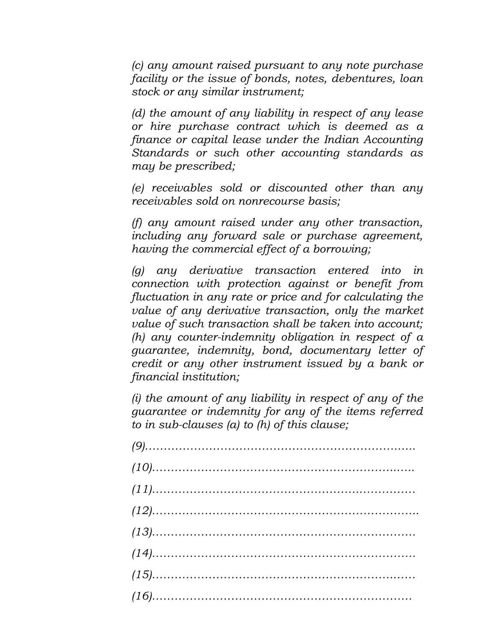*(c) any amount raised pursuant to any note purchase facility or the issue of bonds, notes, debentures, loan stock or any similar instrument;*

*(d) the amount of any liability in respect of any lease or hire purchase contract which is deemed as a finance or capital lease under the Indian Accounting Standards or such other accounting standards as may be prescribed;*

*(e) receivables sold or discounted other than any receivables sold on nonrecourse basis;*

*(f) any amount raised under any other transaction, including any forward sale or purchase agreement, having the commercial effect of a borrowing;*

*(g) any derivative transaction entered into in connection with protection against or benefit from fluctuation in any rate or price and for calculating the value of any derivative transaction, only the market value of such transaction shall be taken into account; (h) any counter-indemnity obligation in respect of a guarantee, indemnity, bond, documentary letter of credit or any other instrument issued by a bank or financial institution;*

*(i) the amount of any liability in respect of any of the guarantee or indemnity for any of the items referred to in sub-clauses (a) to (h) of this clause;*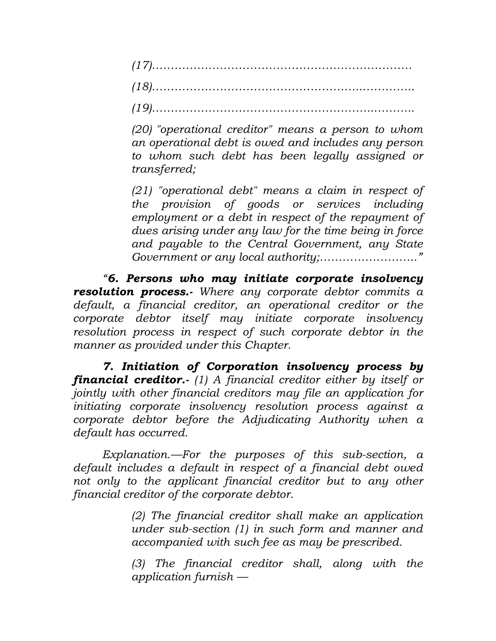*(17)…………………………………………………………… (18)………………………………………………..…………..*

*(19)…………………………………………………..………..*

*(20) "operational creditor" means a person to whom an operational debt is owed and includes any person to whom such debt has been legally assigned or transferred;*

*(21) "operational debt" means a claim in respect of the provision of goods or services including employment or a debt in respect of the repayment of dues arising under any law for the time being in force and payable to the Central Government, any State Government or any local authority;…………………….."*

*"6. Persons who may initiate corporate insolvency resolution process.- Where any corporate debtor commits a default, a financial creditor, an operational creditor or the corporate debtor itself may initiate corporate insolvency resolution process in respect of such corporate debtor in the manner as provided under this Chapter.*

*7. Initiation of Corporation insolvency process by financial creditor.- (1) A financial creditor either by itself or jointly with other financial creditors may file an application for initiating corporate insolvency resolution process against a corporate debtor before the Adjudicating Authority when a default has occurred.*

*Explanation.—For the purposes of this sub-section, a default includes a default in respect of a financial debt owed not only to the applicant financial creditor but to any other financial creditor of the corporate debtor.*

> *(2) The financial creditor shall make an application under sub-section (1) in such form and manner and accompanied with such fee as may be prescribed.*

> *(3) The financial creditor shall, along with the application furnish —*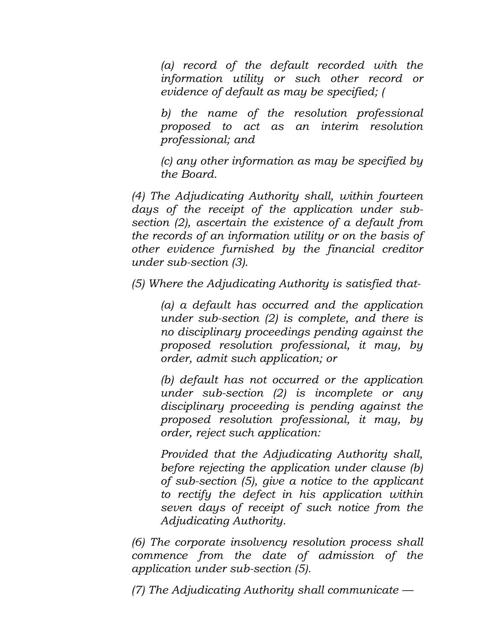*(a) record of the default recorded with the information utility or such other record or evidence of default as may be specified; (*

*b) the name of the resolution professional proposed to act as an interim resolution professional; and*

*(c) any other information as may be specified by the Board.*

*(4) The Adjudicating Authority shall, within fourteen days of the receipt of the application under subsection (2), ascertain the existence of a default from the records of an information utility or on the basis of other evidence furnished by the financial creditor under sub-section (3).*

*(5) Where the Adjudicating Authority is satisfied that-*

*(a) a default has occurred and the application under sub-section (2) is complete, and there is no disciplinary proceedings pending against the proposed resolution professional, it may, by order, admit such application; or*

*(b) default has not occurred or the application under sub-section (2) is incomplete or any disciplinary proceeding is pending against the proposed resolution professional, it may, by order, reject such application:*

*Provided that the Adjudicating Authority shall, before rejecting the application under clause (b) of sub-section (5), give a notice to the applicant to rectify the defect in his application within seven days of receipt of such notice from the Adjudicating Authority.*

*(6) The corporate insolvency resolution process shall commence from the date of admission of the application under sub-section (5).*

*(7) The Adjudicating Authority shall communicate —*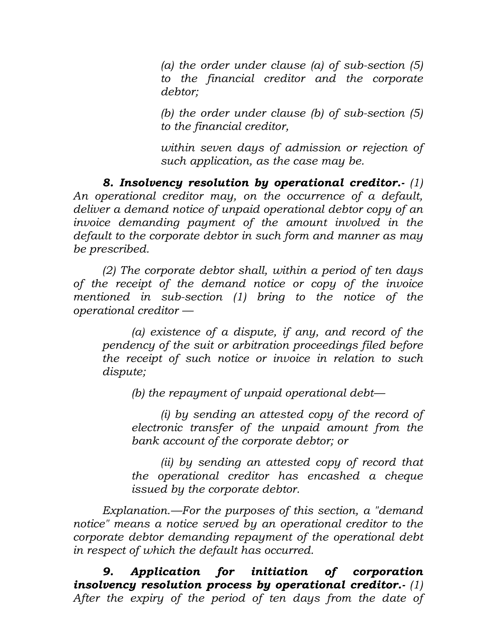*(a) the order under clause (a) of sub-section (5) to the financial creditor and the corporate debtor;*

*(b) the order under clause (b) of sub-section (5) to the financial creditor,*

*within seven days of admission or rejection of such application, as the case may be.*

*8. Insolvency resolution by operational creditor.- (1) An operational creditor may, on the occurrence of a default, deliver a demand notice of unpaid operational debtor copy of an invoice demanding payment of the amount involved in the default to the corporate debtor in such form and manner as may be prescribed.*

*(2) The corporate debtor shall, within a period of ten days of the receipt of the demand notice or copy of the invoice mentioned in sub-section (1) bring to the notice of the operational creditor —*

*(a) existence of a dispute, if any, and record of the pendency of the suit or arbitration proceedings filed before the receipt of such notice or invoice in relation to such dispute;*

*(b) the repayment of unpaid operational debt—*

*(i) by sending an attested copy of the record of electronic transfer of the unpaid amount from the bank account of the corporate debtor; or*

*(ii) by sending an attested copy of record that the operational creditor has encashed a cheque issued by the corporate debtor.*

*Explanation.—For the purposes of this section, a "demand notice" means a notice served by an operational creditor to the corporate debtor demanding repayment of the operational debt in respect of which the default has occurred.*

*9. Application for initiation of corporation insolvency resolution process by operational creditor.- (1) After the expiry of the period of ten days from the date of*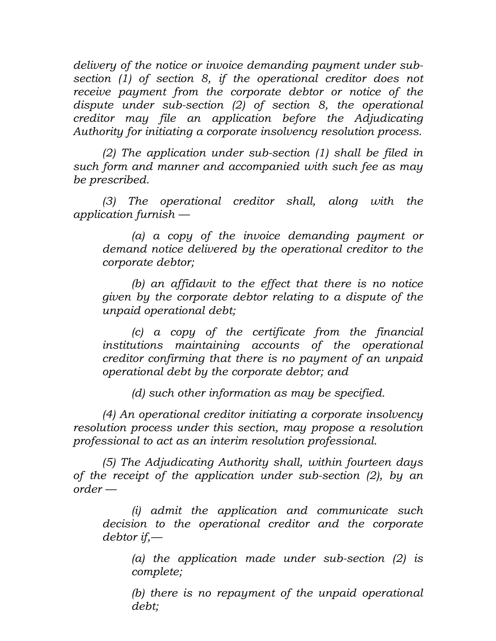*delivery of the notice or invoice demanding payment under subsection (1) of section 8, if the operational creditor does not receive payment from the corporate debtor or notice of the dispute under sub-section (2) of section 8, the operational creditor may file an application before the Adjudicating Authority for initiating a corporate insolvency resolution process.*

*(2) The application under sub-section (1) shall be filed in such form and manner and accompanied with such fee as may be prescribed.*

*(3) The operational creditor shall, along with the application furnish —*

*(a) a copy of the invoice demanding payment or demand notice delivered by the operational creditor to the corporate debtor;*

*(b) an affidavit to the effect that there is no notice given by the corporate debtor relating to a dispute of the unpaid operational debt;*

*(c) a copy of the certificate from the financial institutions maintaining accounts of the operational creditor confirming that there is no payment of an unpaid operational debt by the corporate debtor; and*

*(d) such other information as may be specified.*

*(4) An operational creditor initiating a corporate insolvency resolution process under this section, may propose a resolution professional to act as an interim resolution professional.*

*(5) The Adjudicating Authority shall, within fourteen days of the receipt of the application under sub-section (2), by an order —*

*(i) admit the application and communicate such decision to the operational creditor and the corporate debtor if,—*

*(a) the application made under sub-section (2) is complete;*

*(b) there is no repayment of the unpaid operational debt;*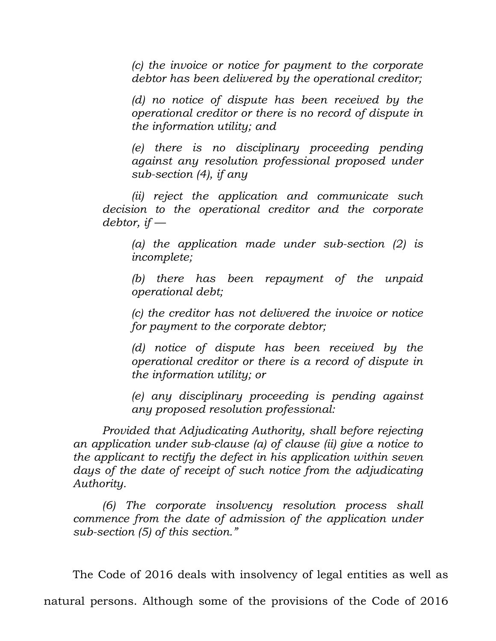*(c) the invoice or notice for payment to the corporate debtor has been delivered by the operational creditor;*

*(d) no notice of dispute has been received by the operational creditor or there is no record of dispute in the information utility; and*

*(e) there is no disciplinary proceeding pending against any resolution professional proposed under sub-section (4), if any*

*(ii) reject the application and communicate such decision to the operational creditor and the corporate debtor, if —*

*(a) the application made under sub-section (2) is incomplete;*

*(b) there has been repayment of the unpaid operational debt;*

*(c) the creditor has not delivered the invoice or notice for payment to the corporate debtor;*

*(d) notice of dispute has been received by the operational creditor or there is a record of dispute in the information utility; or*

*(e) any disciplinary proceeding is pending against any proposed resolution professional:*

*Provided that Adjudicating Authority, shall before rejecting an application under sub-clause (a) of clause (ii) give a notice to the applicant to rectify the defect in his application within seven days of the date of receipt of such notice from the adjudicating Authority.*

*(6) The corporate insolvency resolution process shall commence from the date of admission of the application under sub-section (5) of this section."*

The Code of 2016 deals with insolvency of legal entities as well as

natural persons. Although some of the provisions of the Code of 2016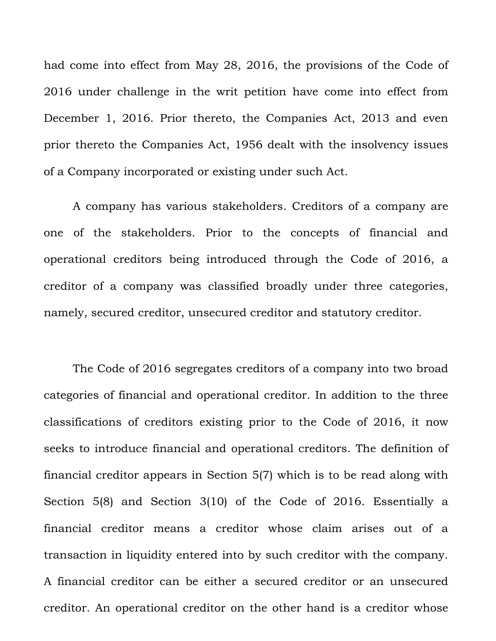had come into effect from May 28, 2016, the provisions of the Code of 2016 under challenge in the writ petition have come into effect from December 1, 2016. Prior thereto, the Companies Act, 2013 and even prior thereto the Companies Act, 1956 dealt with the insolvency issues of a Company incorporated or existing under such Act.

A company has various stakeholders. Creditors of a company are one of the stakeholders. Prior to the concepts of financial and operational creditors being introduced through the Code of 2016, a creditor of a company was classified broadly under three categories, namely, secured creditor, unsecured creditor and statutory creditor.

The Code of 2016 segregates creditors of a company into two broad categories of financial and operational creditor. In addition to the three classifications of creditors existing prior to the Code of 2016, it now seeks to introduce financial and operational creditors. The definition of financial creditor appears in Section 5(7) which is to be read along with Section 5(8) and Section 3(10) of the Code of 2016. Essentially a financial creditor means a creditor whose claim arises out of a transaction in liquidity entered into by such creditor with the company. A financial creditor can be either a secured creditor or an unsecured creditor. An operational creditor on the other hand is a creditor whose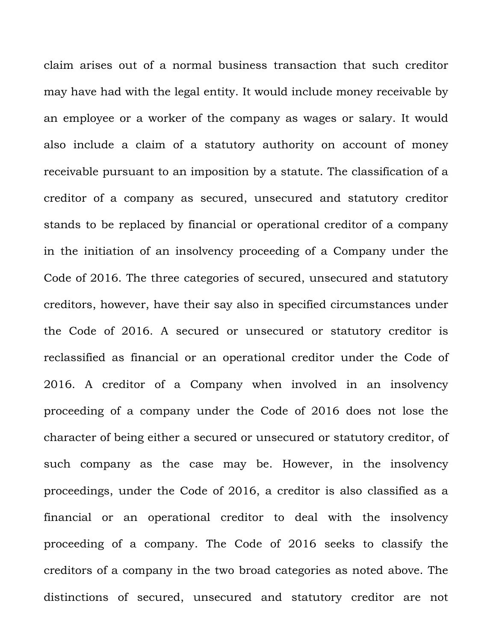claim arises out of a normal business transaction that such creditor may have had with the legal entity. It would include money receivable by an employee or a worker of the company as wages or salary. It would also include a claim of a statutory authority on account of money receivable pursuant to an imposition by a statute. The classification of a creditor of a company as secured, unsecured and statutory creditor stands to be replaced by financial or operational creditor of a company in the initiation of an insolvency proceeding of a Company under the Code of 2016. The three categories of secured, unsecured and statutory creditors, however, have their say also in specified circumstances under the Code of 2016. A secured or unsecured or statutory creditor is reclassified as financial or an operational creditor under the Code of 2016. A creditor of a Company when involved in an insolvency proceeding of a company under the Code of 2016 does not lose the character of being either a secured or unsecured or statutory creditor, of such company as the case may be. However, in the insolvency proceedings, under the Code of 2016, a creditor is also classified as a financial or an operational creditor to deal with the insolvency proceeding of a company. The Code of 2016 seeks to classify the creditors of a company in the two broad categories as noted above. The distinctions of secured, unsecured and statutory creditor are not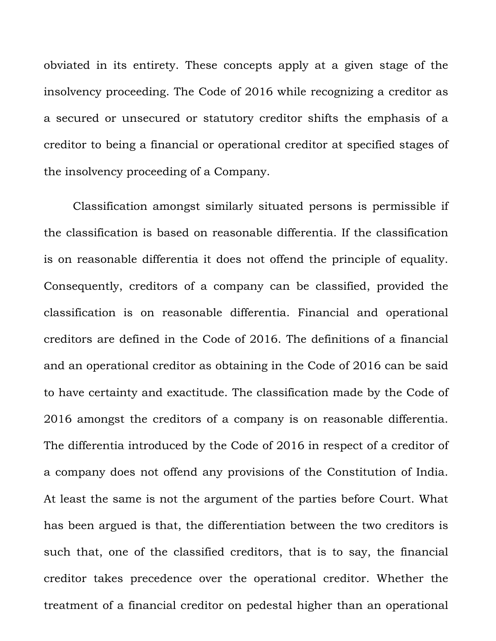obviated in its entirety. These concepts apply at a given stage of the insolvency proceeding. The Code of 2016 while recognizing a creditor as a secured or unsecured or statutory creditor shifts the emphasis of a creditor to being a financial or operational creditor at specified stages of the insolvency proceeding of a Company.

Classification amongst similarly situated persons is permissible if the classification is based on reasonable differentia. If the classification is on reasonable differentia it does not offend the principle of equality. Consequently, creditors of a company can be classified, provided the classification is on reasonable differentia. Financial and operational creditors are defined in the Code of 2016. The definitions of a financial and an operational creditor as obtaining in the Code of 2016 can be said to have certainty and exactitude. The classification made by the Code of 2016 amongst the creditors of a company is on reasonable differentia. The differentia introduced by the Code of 2016 in respect of a creditor of a company does not offend any provisions of the Constitution of India. At least the same is not the argument of the parties before Court. What has been argued is that, the differentiation between the two creditors is such that, one of the classified creditors, that is to say, the financial creditor takes precedence over the operational creditor. Whether the treatment of a financial creditor on pedestal higher than an operational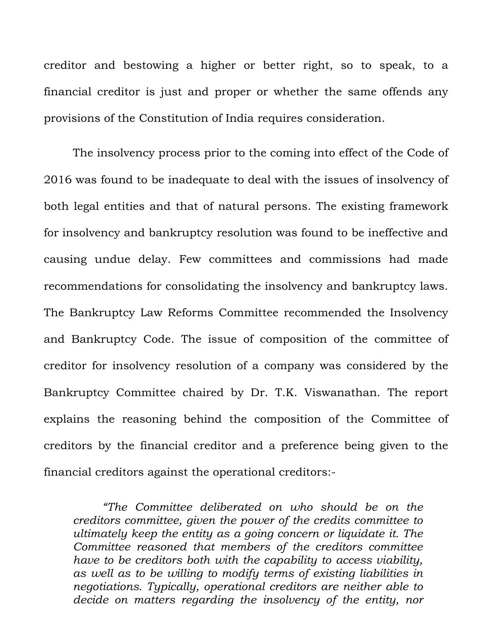creditor and bestowing a higher or better right, so to speak, to a financial creditor is just and proper or whether the same offends any provisions of the Constitution of India requires consideration.

The insolvency process prior to the coming into effect of the Code of 2016 was found to be inadequate to deal with the issues of insolvency of both legal entities and that of natural persons. The existing framework for insolvency and bankruptcy resolution was found to be ineffective and causing undue delay. Few committees and commissions had made recommendations for consolidating the insolvency and bankruptcy laws. The Bankruptcy Law Reforms Committee recommended the Insolvency and Bankruptcy Code. The issue of composition of the committee of creditor for insolvency resolution of a company was considered by the Bankruptcy Committee chaired by Dr. T.K. Viswanathan. The report explains the reasoning behind the composition of the Committee of creditors by the financial creditor and a preference being given to the financial creditors against the operational creditors:-

*"The Committee deliberated on who should be on the creditors committee, given the power of the credits committee to ultimately keep the entity as a going concern or liquidate it. The Committee reasoned that members of the creditors committee have to be creditors both with the capability to access viability, as well as to be willing to modify terms of existing liabilities in negotiations. Typically, operational creditors are neither able to decide on matters regarding the insolvency of the entity, nor*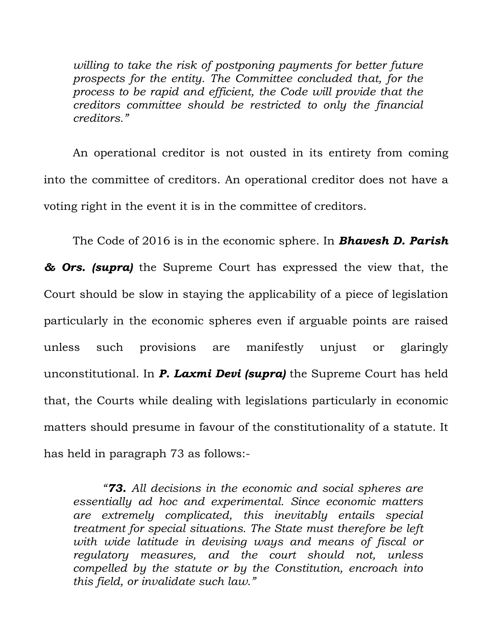*willing to take the risk of postponing payments for better future prospects for the entity. The Committee concluded that, for the process to be rapid and efficient, the Code will provide that the creditors committee should be restricted to only the financial creditors."*

An operational creditor is not ousted in its entirety from coming into the committee of creditors. An operational creditor does not have a voting right in the event it is in the committee of creditors.

The Code of 2016 is in the economic sphere. In *Bhavesh D. Parish & Ors. (supra)* the Supreme Court has expressed the view that, the Court should be slow in staying the applicability of a piece of legislation particularly in the economic spheres even if arguable points are raised unless such provisions are manifestly unjust or glaringly unconstitutional. In *P. Laxmi Devi (supra)* the Supreme Court has held that, the Courts while dealing with legislations particularly in economic matters should presume in favour of the constitutionality of a statute. It has held in paragraph 73 as follows:-

*"73. All decisions in the economic and social spheres are essentially ad hoc and experimental. Since economic matters are extremely complicated, this inevitably entails special treatment for special situations. The State must therefore be left with wide latitude in devising ways and means of fiscal or regulatory measures, and the court should not, unless compelled by the statute or by the Constitution, encroach into this field, or invalidate such law."*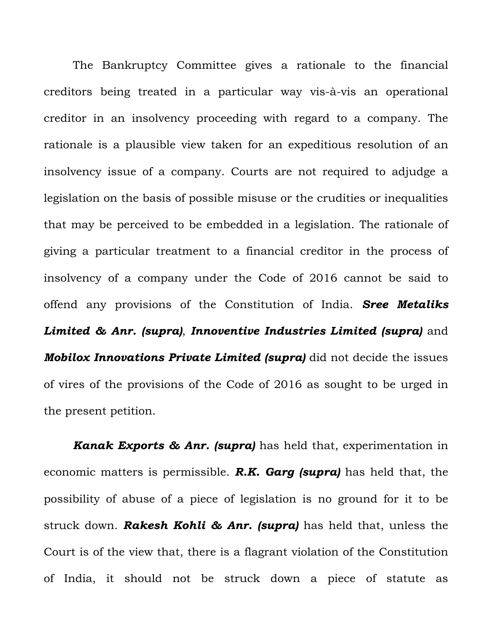The Bankruptcy Committee gives a rationale to the financial creditors being treated in a particular way vis-à-vis an operational creditor in an insolvency proceeding with regard to a company. The rationale is a plausible view taken for an expeditious resolution of an insolvency issue of a company. Courts are not required to adjudge a legislation on the basis of possible misuse or the crudities or inequalities that may be perceived to be embedded in a legislation. The rationale of giving a particular treatment to a financial creditor in the process of insolvency of a company under the Code of 2016 cannot be said to offend any provisions of the Constitution of India. *Sree Metaliks Limited & Anr. (supra)*, *Innoventive Industries Limited (supra)* and *Mobilox Innovations Private Limited (supra)* did not decide the issues of vires of the provisions of the Code of 2016 as sought to be urged in the present petition.

*Kanak Exports & Anr. (supra)* has held that, experimentation in economic matters is permissible. *R.K. Garg (supra)* has held that, the possibility of abuse of a piece of legislation is no ground for it to be struck down. *Rakesh Kohli & Anr. (supra)* has held that, unless the Court is of the view that, there is a flagrant violation of the Constitution of India, it should not be struck down a piece of statute as